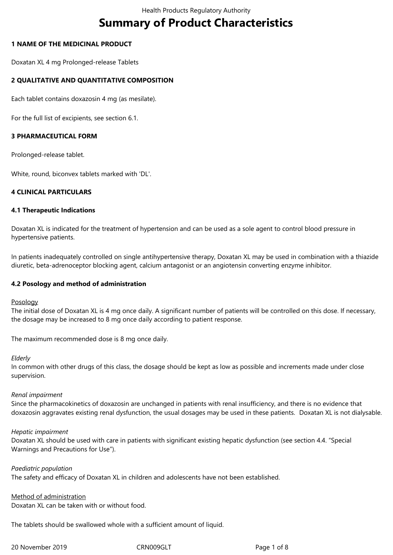# **Summary of Product Characteristics**

### **1 NAME OF THE MEDICINAL PRODUCT**

Doxatan XL 4 mg Prolonged-release Tablets

## **2 QUALITATIVE AND QUANTITATIVE COMPOSITION**

Each tablet contains doxazosin 4 mg (as mesilate).

For the full list of excipients, see section 6.1.

#### **3 PHARMACEUTICAL FORM**

Prolonged-release tablet.

White, round, biconvex tablets marked with 'DL'.

#### **4 CLINICAL PARTICULARS**

#### **4.1 Therapeutic Indications**

Doxatan XL is indicated for the treatment of hypertension and can be used as a sole agent to control blood pressure in hypertensive patients.

In patients inadequately controlled on single antihypertensive therapy, Doxatan XL may be used in combination with a thiazide diuretic, beta-adrenoceptor blocking agent, calcium antagonist or an angiotensin converting enzyme inhibitor.

#### **4.2 Posology and method of administration**

#### Posology

The initial dose of Doxatan XL is 4 mg once daily. A significant number of patients will be controlled on this dose. If necessary, the dosage may be increased to 8 mg once daily according to patient response.

The maximum recommended dose is 8 mg once daily.

#### *Elderly*

In common with other drugs of this class, the dosage should be kept as low as possible and increments made under close supervision.

#### *Renal impairment*

Since the pharmacokinetics of doxazosin are unchanged in patients with renal insufficiency, and there is no evidence that doxazosin aggravates existing renal dysfunction, the usual dosages may be used in these patients. Doxatan XL is not dialysable.

#### *Hepatic impairment*

Doxatan XL should be used with care in patients with significant existing hepatic dysfunction (see section 4.4. "Special Warnings and Precautions for Use").

*Paediatric population* The safety and efficacy of Doxatan XL in children and adolescents have not been established.

Method of administration Doxatan XL can be taken with or without food.

The tablets should be swallowed whole with a sufficient amount of liquid.

20 November 2019 **CRNOO9GLT** CRNOO9GLT Page 1 of 8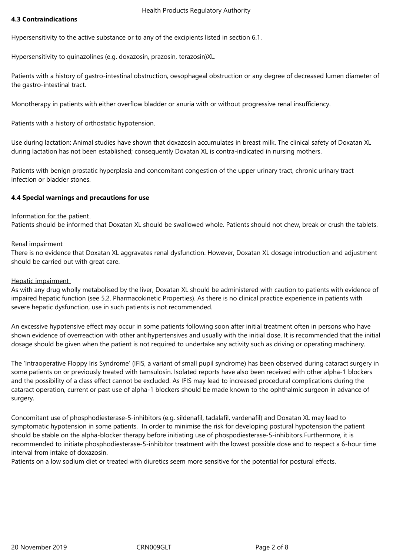## **4.3 Contraindications**

Hypersensitivity to the active substance or to any of the excipients listed in section 6.1.

Hypersensitivity to quinazolines (e.g. doxazosin, prazosin, terazosin)XL.

Patients with a history of gastro-intestinal obstruction, oesophageal obstruction or any degree of decreased lumen diameter of the gastro-intestinal tract.

Monotherapy in patients with either overflow bladder or anuria with or without progressive renal insufficiency.

Patients with a history of orthostatic hypotension.

Use during lactation: Animal studies have shown that doxazosin accumulates in breast milk. The clinical safety of Doxatan XL during lactation has not been established; consequently Doxatan XL is contra-indicated in nursing mothers.

Patients with benign prostatic hyperplasia and concomitant congestion of the upper urinary tract, chronic urinary tract infection or bladder stones.

## **4.4 Special warnings and precautions for use**

#### Information for the patient

Patients should be informed that Doxatan XL should be swallowed whole. Patients should not chew, break or crush the tablets.

#### Renal impairment

There is no evidence that Doxatan XL aggravates renal dysfunction. However, Doxatan XL dosage introduction and adjustment should be carried out with great care.

#### Hepatic impairment

As with any drug wholly metabolised by the liver, Doxatan XL should be administered with caution to patients with evidence of impaired hepatic function (see 5.2. Pharmacokinetic Properties). As there is no clinical practice experience in patients with severe hepatic dysfunction, use in such patients is not recommended.

An excessive hypotensive effect may occur in some patients following soon after initial treatment often in persons who have shown evidence of overreaction with other antihypertensives and usually with the initial dose. It is recommended that the initial dosage should be given when the patient is not required to undertake any activity such as driving or operating machinery.

The 'Intraoperative Floppy Iris Syndrome' (IFIS, a variant of small pupil syndrome) has been observed during cataract surgery in some patients on or previously treated with tamsulosin. Isolated reports have also been received with other alpha-1 blockers and the possibility of a class effect cannot be excluded. As IFIS may lead to increased procedural complications during the cataract operation, current or past use of alpha-1 blockers should be made known to the ophthalmic surgeon in advance of surgery.

Concomitant use of phosphodiesterase-5-inhibitors (e.g. sildenafil, tadalafil, vardenafil) and Doxatan XL may lead to symptomatic hypotension in some patients. In order to minimise the risk for developing postural hypotension the patient should be stable on the alpha-blocker therapy before initiating use of phospodiesterase-5-inhibitors.Furthermore, it is recommended to initiate phosphodiesterase-5-inhibitor treatment with the lowest possible dose and to respect a 6-hour time interval from intake of doxazosin.

Patients on a low sodium diet or treated with diuretics seem more sensitive for the potential for postural effects.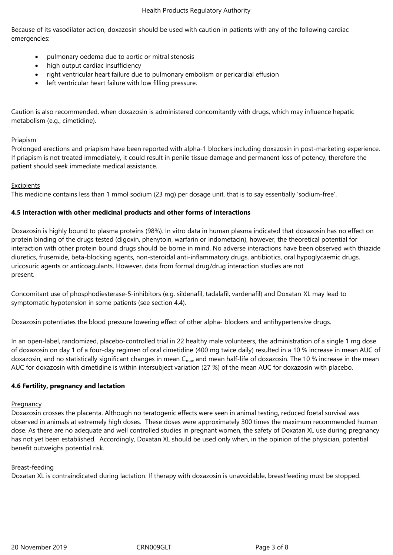Because of its vasodilator action, doxazosin should be used with caution in patients with any of the following cardiac emergencies:

- pulmonary oedema due to aortic or mitral stenosis
- high output cardiac insufficiency
- right ventricular heart failure due to pulmonary embolism or pericardial effusion
- left ventricular heart failure with low filling pressure.

Caution is also recommended, when doxazosin is administered concomitantly with drugs, which may influence hepatic metabolism (e.g., cimetidine).

## Priapism

Prolonged erections and priapism have been reported with alpha-1 blockers including doxazosin in post-marketing experience. If priapism is not treated immediately, it could result in penile tissue damage and permanent loss of potency, therefore the patient should seek immediate medical assistance.

## Excipients

This medicine contains less than 1 mmol sodium (23 mg) per dosage unit, that is to say essentially 'sodium-free'.

## **4.5 Interaction with other medicinal products and other forms of interactions**

Doxazosin is highly bound to plasma proteins (98%). In vitro data in human plasma indicated that doxazosin has no effect on protein binding of the drugs tested (digoxin, phenytoin, warfarin or indometacin), however, the theoretical potential for interaction with other protein bound drugs should be borne in mind. No adverse interactions have been observed with thiazide diuretics, frusemide, beta-blocking agents, non-steroidal anti-inflammatory drugs, antibiotics, oral hypoglycaemic drugs, uricosuric agents or anticoagulants. However, data from formal drug/drug interaction studies are not present.

Concomitant use of phosphodiesterase-5-inhibitors (e.g. sildenafil, tadalafil, vardenafil) and Doxatan XL may lead to symptomatic hypotension in some patients (see section 4.4).

Doxazosin potentiates the blood pressure lowering effect of other alpha- blockers and antihypertensive drugs.

In an open-label, randomized, placebo-controlled trial in 22 healthy male volunteers, the administration of a single 1 mg dose of doxazosin on day 1 of a four-day regimen of oral cimetidine (400 mg twice daily) resulted in a 10 % increase in mean AUC of doxazosin, and no statistically significant changes in mean  $C_{\text{max}}$  and mean half-life of doxazosin. The 10 % increase in the mean AUC for doxazosin with cimetidine is within intersubject variation (27 %) of the mean AUC for doxazosin with placebo.

#### **4.6 Fertility, pregnancy and lactation**

#### **Pregnancy**

Doxazosin crosses the placenta. Although no teratogenic effects were seen in animal testing, reduced foetal survival was observed in animals at extremely high doses. These doses were approximately 300 times the maximum recommended human dose. As there are no adequate and well controlled studies in pregnant women, the safety of Doxatan XL use during pregnancy has not yet been established. Accordingly, Doxatan XL should be used only when, in the opinion of the physician, potential benefit outweighs potential risk.

## Breast-feeding

Doxatan XL is contraindicated during lactation. If therapy with doxazosin is unavoidable, breastfeeding must be stopped.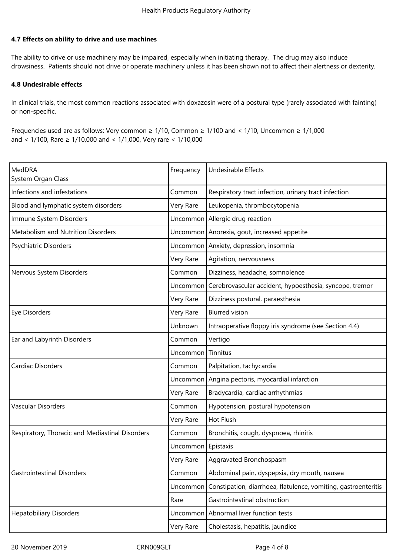## **4.7 Effects on ability to drive and use machines**

The ability to drive or use machinery may be impaired, especially when initiating therapy. The drug may also induce drowsiness. Patients should not drive or operate machinery unless it has been shown not to affect their alertness or dexterity.

#### **4.8 Undesirable effects**

In clinical trials, the most common reactions associated with doxazosin were of a postural type (rarely associated with fainting) or non-specific.

Frequencies used are as follows: Very common ≥ 1/10, Common ≥ 1/100 and < 1/10, Uncommon ≥ 1/1,000 and < 1/100, Rare ≥ 1/10,000 and < 1/1,000, Very rare < 1/10,000

| MedDRA<br>System Organ Class                    | Frequency            | <b>Undesirable Effects</b>                                     |
|-------------------------------------------------|----------------------|----------------------------------------------------------------|
| Infections and infestations                     | Common               | Respiratory tract infection, urinary tract infection           |
| Blood and lymphatic system disorders            | Very Rare            | Leukopenia, thrombocytopenia                                   |
| Immune System Disorders                         | Uncommon             | Allergic drug reaction                                         |
| Metabolism and Nutrition Disorders              |                      | Uncommon   Anorexia, gout, increased appetite                  |
| Psychiatric Disorders                           | Uncommon             | Anxiety, depression, insomnia                                  |
|                                                 | Very Rare            | Agitation, nervousness                                         |
| Nervous System Disorders                        | Common               | Dizziness, headache, somnolence                                |
|                                                 | Uncommon             | Cerebrovascular accident, hypoesthesia, syncope, tremor        |
|                                                 | Very Rare            | Dizziness postural, paraesthesia                               |
| Eye Disorders                                   | Very Rare            | <b>Blurred</b> vision                                          |
|                                                 | Unknown              | Intraoperative floppy iris syndrome (see Section 4.4)          |
| Ear and Labyrinth Disorders                     | Common               | Vertigo                                                        |
|                                                 | Uncommon             | Tinnitus                                                       |
| <b>Cardiac Disorders</b>                        | Common               | Palpitation, tachycardia                                       |
|                                                 | Uncommon             | Angina pectoris, myocardial infarction                         |
|                                                 | Very Rare            | Bradycardia, cardiac arrhythmias                               |
| Vascular Disorders                              | Common               | Hypotension, postural hypotension                              |
|                                                 | Very Rare            | Hot Flush                                                      |
| Respiratory, Thoracic and Mediastinal Disorders | Common               | Bronchitis, cough, dyspnoea, rhinitis                          |
|                                                 | Uncommon   Epistaxis |                                                                |
|                                                 | Very Rare            | Aggravated Bronchospasm                                        |
| <b>Gastrointestinal Disorders</b>               | Common               | Abdominal pain, dyspepsia, dry mouth, nausea                   |
|                                                 | Uncommon             | Constipation, diarrhoea, flatulence, vomiting, gastroenteritis |
|                                                 | Rare                 | Gastrointestinal obstruction                                   |
| <b>Hepatobiliary Disorders</b>                  |                      | Uncommon Abnormal liver function tests                         |
|                                                 | Very Rare            | Cholestasis, hepatitis, jaundice                               |

20 November 2019 **CRN009GLT** CRNO09GLT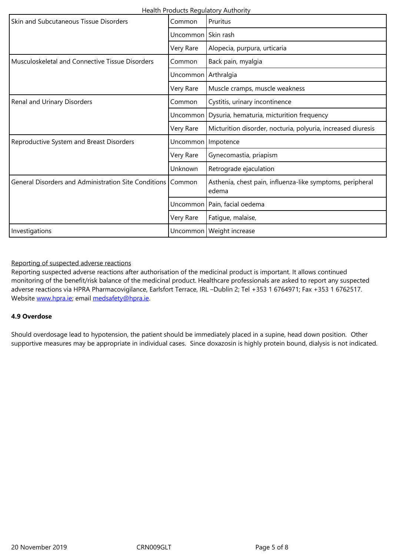|                                                      | Uncommon Skin rash   |                                                                    |
|------------------------------------------------------|----------------------|--------------------------------------------------------------------|
|                                                      | Very Rare            | Alopecia, purpura, urticaria                                       |
| Musculoskeletal and Connective Tissue Disorders      | Common               | Back pain, myalgia                                                 |
|                                                      | Uncommon Arthralgia  |                                                                    |
|                                                      | Very Rare            | Muscle cramps, muscle weakness                                     |
| Renal and Urinary Disorders                          | Common               | Cystitis, urinary incontinence                                     |
|                                                      | Uncommon             | Dysuria, hematuria, micturition frequency                          |
|                                                      | Very Rare            | Micturition disorder, nocturia, polyuria, increased diuresis       |
| Reproductive System and Breast Disorders             | Uncommon   Impotence |                                                                    |
|                                                      | Very Rare            | Gynecomastia, priapism                                             |
|                                                      | Unknown              | Retrograde ejaculation                                             |
| General Disorders and Administration Site Conditions | Common               | Asthenia, chest pain, influenza-like symptoms, peripheral<br>edema |
|                                                      |                      | Uncommon   Pain, facial oedema                                     |
|                                                      | Very Rare            | Fatigue, malaise,                                                  |
| Investigations                                       |                      | Uncommon   Weight increase                                         |

## Reporting of suspected adverse reactions

Reporting suspected adverse reactions after authorisation of the medicinal product is important. It allows continued monitoring of the benefit/risk balance of the medicinal product. Healthcare professionals are asked to report any suspected adverse reactions via HPRA Pharmacovigilance, Earlsfort Terrace, IRL –Dublin 2; Tel +353 1 6764971; Fax +353 1 6762517. Website www.hpra.ie; email medsafety@hpra.ie.

## **4.9 Overdose**

Should [overdosage le](http://www.hpra.ie/)ad to [hypotension, the pat](mailto:medsafety@hpra.ie)ient should be immediately placed in a supine, head down position. Other supportive measures may be appropriate in individual cases. Since doxazosin is highly protein bound, dialysis is not indicated.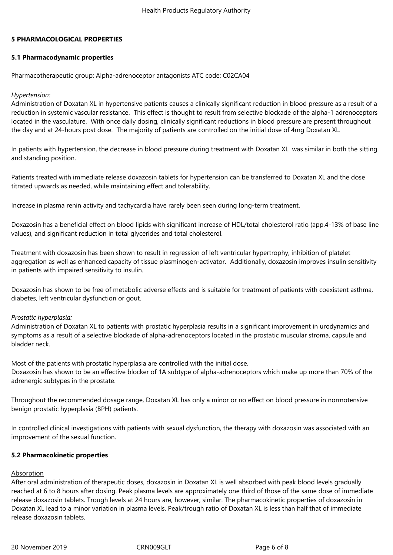## **5 PHARMACOLOGICAL PROPERTIES**

#### **5.1 Pharmacodynamic properties**

Pharmacotherapeutic group: Alpha-adrenoceptor antagonists ATC code: C02CA04

#### *Hypertension:*

Administration of Doxatan XL in hypertensive patients causes a clinically significant reduction in blood pressure as a result of a reduction in systemic vascular resistance. This effect is thought to result from selective blockade of the alpha-1 adrenoceptors located in the vasculature. With once daily dosing, clinically significant reductions in blood pressure are present throughout the day and at 24-hours post dose. The majority of patients are controlled on the initial dose of 4mg Doxatan XL.

In patients with hypertension, the decrease in blood pressure during treatment with Doxatan XL was similar in both the sitting and standing position.

Patients treated with immediate release doxazosin tablets for hypertension can be transferred to Doxatan XL and the dose titrated upwards as needed, while maintaining effect and tolerability.

Increase in plasma renin activity and tachycardia have rarely been seen during long-term treatment.

Doxazosin has a beneficial effect on blood lipids with significant increase of HDL/total cholesterol ratio (app.4-13% of base line values), and significant reduction in total glycerides and total cholesterol.

Treatment with doxazosin has been shown to result in regression of left ventricular hypertrophy, inhibition of platelet aggregation as well as enhanced capacity of tissue plasminogen-activator. Additionally, doxazosin improves insulin sensitivity in patients with impaired sensitivity to insulin.

Doxazosin has shown to be free of metabolic adverse effects and is suitable for treatment of patients with coexistent asthma, diabetes, left ventricular dysfunction or gout.

#### *Prostatic hyperplasia:*

Administration of Doxatan XL to patients with prostatic hyperplasia results in a significant improvement in urodynamics and symptoms as a result of a selective blockade of alpha-adrenoceptors located in the prostatic muscular stroma, capsule and bladder neck.

Most of the patients with prostatic hyperplasia are controlled with the initial dose. Doxazosin has shown to be an effective blocker of 1A subtype of alpha-adrenoceptors which make up more than 70% of the adrenergic subtypes in the prostate.

Throughout the recommended dosage range, Doxatan XL has only a minor or no effect on blood pressure in normotensive benign prostatic hyperplasia (BPH) patients.

In controlled clinical investigations with patients with sexual dysfunction, the therapy with doxazosin was associated with an improvement of the sexual function.

#### **5.2 Pharmacokinetic properties**

#### **Absorption**

After oral administration of therapeutic doses, doxazosin in Doxatan XL is well absorbed with peak blood levels gradually reached at 6 to 8 hours after dosing. Peak plasma levels are approximately one third of those of the same dose of immediate release doxazosin tablets. Trough levels at 24 hours are, however, similar. The pharmacokinetic properties of doxazosin in Doxatan XL lead to a minor variation in plasma levels. Peak/trough ratio of Doxatan XL is less than half that of immediate release doxazosin tablets.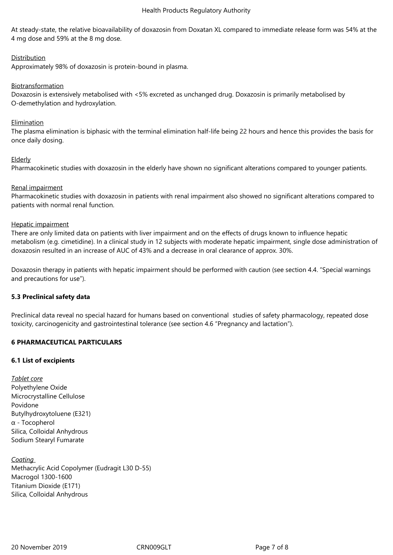At steady-state, the relative bioavailability of doxazosin from Doxatan XL compared to immediate release form was 54% at the 4 mg dose and 59% at the 8 mg dose.

## **Distribution**

Approximately 98% of doxazosin is protein-bound in plasma.

## Biotransformation

Doxazosin is extensively metabolised with <5% excreted as unchanged drug. Doxazosin is primarily metabolised by O-demethylation and hydroxylation.

## **Elimination**

The plasma elimination is biphasic with the terminal elimination half-life being 22 hours and hence this provides the basis for once daily dosing.

## Elderly

Pharmacokinetic studies with doxazosin in the elderly have shown no significant alterations compared to younger patients.

## Renal impairment

Pharmacokinetic studies with doxazosin in patients with renal impairment also showed no significant alterations compared to patients with normal renal function.

## Hepatic impairment

There are only limited data on patients with liver impairment and on the effects of drugs known to influence hepatic metabolism (e.g. cimetidine). In a clinical study in 12 subjects with moderate hepatic impairment, single dose administration of doxazosin resulted in an increase of AUC of 43% and a decrease in oral clearance of approx. 30%.

Doxazosin therapy in patients with hepatic impairment should be performed with caution (see section 4.4. "Special warnings and precautions for use").

## **5.3 Preclinical safety data**

Preclinical data reveal no special hazard for humans based on conventional studies of safety pharmacology, repeated dose toxicity, carcinogenicity and gastrointestinal tolerance (see section 4.6 "Pregnancy and lactation").

## **6 PHARMACEUTICAL PARTICULARS**

## **6.1 List of excipients**

*Tablet core* Polyethylene Oxide Microcrystalline Cellulose Povidone Butylhydroxytoluene (E321) α - Tocopherol Silica, Colloidal Anhydrous Sodium Stearyl Fumarate

*Coating*  Methacrylic Acid Copolymer (Eudragit L30 D-55) Macrogol 1300-1600 Titanium Dioxide (E171) Silica, Colloidal Anhydrous